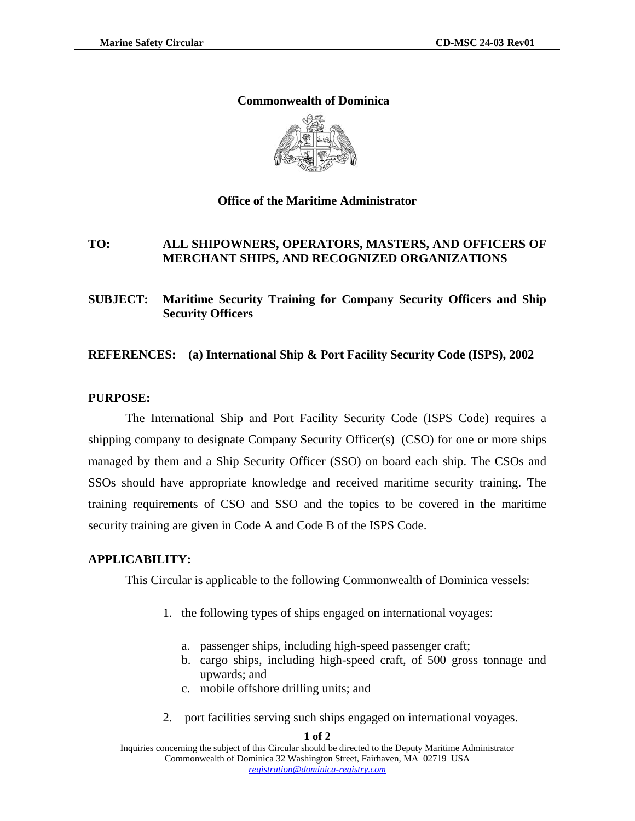### **Commonwealth of Dominica**



### **Office of the Maritime Administrator**

# **TO: ALL SHIPOWNERS, OPERATORS, MASTERS, AND OFFICERS OF MERCHANT SHIPS, AND RECOGNIZED ORGANIZATIONS**

# **SUBJECT: Maritime Security Training for Company Security Officers and Ship Security Officers**

### **REFERENCES: (a) International Ship & Port Facility Security Code (ISPS), 2002**

#### **PURPOSE:**

The International Ship and Port Facility Security Code (ISPS Code) requires a shipping company to designate Company Security Officer(s) (CSO) for one or more ships managed by them and a Ship Security Officer (SSO) on board each ship. The CSOs and SSOs should have appropriate knowledge and received maritime security training. The training requirements of CSO and SSO and the topics to be covered in the maritime security training are given in Code A and Code B of the ISPS Code.

## **APPLICABILITY:**

This Circular is applicable to the following Commonwealth of Dominica vessels:

- 1. the following types of ships engaged on international voyages:
	- a. passenger ships, including high-speed passenger craft;
	- b. cargo ships, including high-speed craft, of 500 gross tonnage and upwards; and
	- c. mobile offshore drilling units; and
- 2. port facilities serving such ships engaged on international voyages.

#### **1 of 2**

Inquiries concerning the subject of this Circular should be directed to the Deputy Maritime Administrator Commonwealth of Dominica 32 Washington Street, Fairhaven, MA 02719 USA *registration@dominica-registry.com* Ì